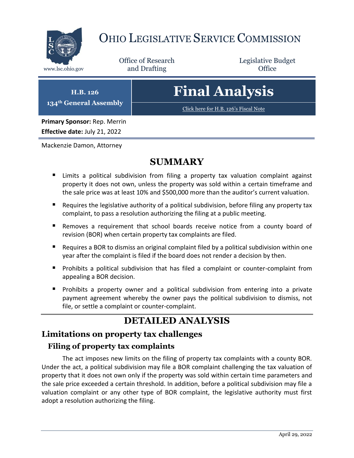

## OHIO LEGISLATIVE SERVICE COMMISSION

Office of Research www.lsc.ohio.gov **and Drafting Office** 

Legislative Budget

**H.B. 126 134th General Assembly**

# **Final Analysis**

[Click here for H.B. 126](https://www.legislature.ohio.gov/legislation/legislation-documents?id=GA134-HB-126)'s Fiscal Note

**Primary Sponsor:** Rep. Merrin **Effective date:** July 21, 2022

Mackenzie Damon, Attorney

## **SUMMARY**

- Limits a political subdivision from filing a property tax valuation complaint against property it does not own, unless the property was sold within a certain timeframe and the sale price was at least 10% and \$500,000 more than the auditor's current valuation.
- Requires the legislative authority of a political subdivision, before filing any property tax complaint, to pass a resolution authorizing the filing at a public meeting.
- Removes a requirement that school boards receive notice from a county board of revision (BOR) when certain property tax complaints are filed.
- $\blacksquare$  Requires a BOR to dismiss an original complaint filed by a political subdivision within one year after the complaint is filed if the board does not render a decision by then.
- Prohibits a political subdivision that has filed a complaint or counter-complaint from appealing a BOR decision.
- **Prohibits a property owner and a political subdivision from entering into a private** payment agreement whereby the owner pays the political subdivision to dismiss, not file, or settle a complaint or counter-complaint.

## **DETAILED ANALYSIS**

## **Limitations on property tax challenges**

#### **Filing of property tax complaints**

The act imposes new limits on the filing of property tax complaints with a county BOR. Under the act, a political subdivision may file a BOR complaint challenging the tax valuation of property that it does not own only if the property was sold within certain time parameters and the sale price exceeded a certain threshold. In addition, before a political subdivision may file a valuation complaint or any other type of BOR complaint, the legislative authority must first adopt a resolution authorizing the filing.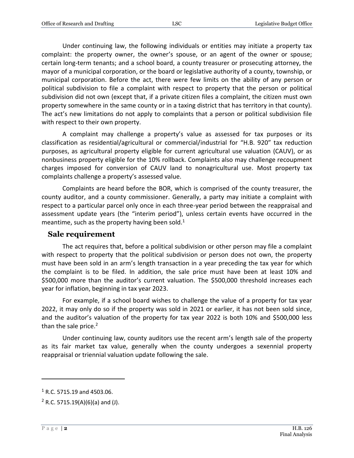Under continuing law, the following individuals or entities may initiate a property tax complaint: the property owner, the owner's spouse, or an agent of the owner or spouse; certain long-term tenants; and a school board, a county treasurer or prosecuting attorney, the mayor of a municipal corporation, or the board or legislative authority of a county, township, or municipal corporation. Before the act, there were few limits on the ability of any person or political subdivision to file a complaint with respect to property that the person or political subdivision did not own (except that, if a private citizen files a complaint, the citizen must own property somewhere in the same county or in a taxing district that has territory in that county). The act's new limitations do not apply to complaints that a person or political subdivision file with respect to their own property.

A complaint may challenge a property's value as assessed for tax purposes or its classification as residential/agricultural or commercial/industrial for "H.B. 920" tax reduction purposes, as agricultural property eligible for current agricultural use valuation (CAUV), or as nonbusiness property eligible for the 10% rollback. Complaints also may challenge recoupment charges imposed for conversion of CAUV land to nonagricultural use. Most property tax complaints challenge a property's assessed value.

Complaints are heard before the BOR, which is comprised of the county treasurer, the county auditor, and a county commissioner. Generally, a party may initiate a complaint with respect to a particular parcel only once in each three-year period between the reappraisal and assessment update years (the "interim period"), unless certain events have occurred in the meantime, such as the property having been sold. $1$ 

#### **Sale requirement**

The act requires that, before a political subdivision or other person may file a complaint with respect to property that the political subdivision or person does not own, the property must have been sold in an arm's length transaction in a year preceding the tax year for which the complaint is to be filed. In addition, the sale price must have been at least 10% and \$500,000 more than the auditor's current valuation. The \$500,000 threshold increases each year for inflation, beginning in tax year 2023.

For example, if a school board wishes to challenge the value of a property for tax year 2022, it may only do so if the property was sold in 2021 or earlier, it has not been sold since, and the auditor's valuation of the property for tax year 2022 is both 10% and \$500,000 less than the sale price. $2$ 

Under continuing law, county auditors use the recent arm's length sale of the property as its fair market tax value, generally when the county undergoes a sexennial property reappraisal or triennial valuation update following the sale.

 $1$  R.C. 5715.19 and 4503.06.

 $2$  R.C. 5715.19(A)(6)(a) and (J).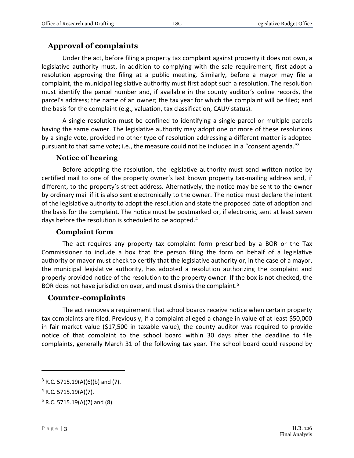#### **Approval of complaints**

Under the act, before filing a property tax complaint against property it does not own, a legislative authority must, in addition to complying with the sale requirement, first adopt a resolution approving the filing at a public meeting. Similarly, before a mayor may file a complaint, the municipal legislative authority must first adopt such a resolution. The resolution must identify the parcel number and, if available in the county auditor's online records, the parcel's address; the name of an owner; the tax year for which the complaint will be filed; and the basis for the complaint (e.g., valuation, tax classification, CAUV status).

A single resolution must be confined to identifying a single parcel or multiple parcels having the same owner. The legislative authority may adopt one or more of these resolutions by a single vote, provided no other type of resolution addressing a different matter is adopted pursuant to that same vote; i.e., the measure could not be included in a "consent agenda."<sup>3</sup>

#### **Notice of hearing**

Before adopting the resolution, the legislative authority must send written notice by certified mail to one of the property owner's last known property tax-mailing address and, if different, to the property's street address. Alternatively, the notice may be sent to the owner by ordinary mail if it is also sent electronically to the owner. The notice must declare the intent of the legislative authority to adopt the resolution and state the proposed date of adoption and the basis for the complaint. The notice must be postmarked or, if electronic, sent at least seven days before the resolution is scheduled to be adopted.<sup>4</sup>

#### **Complaint form**

The act requires any property tax complaint form prescribed by a BOR or the Tax Commissioner to include a box that the person filing the form on behalf of a legislative authority or mayor must check to certify that the legislative authority or, in the case of a mayor, the municipal legislative authority, has adopted a resolution authorizing the complaint and properly provided notice of the resolution to the property owner. If the box is not checked, the BOR does not have jurisdiction over, and must dismiss the complaint.<sup>5</sup>

#### **Counter-complaints**

The act removes a requirement that school boards receive notice when certain property tax complaints are filed. Previously, if a complaint alleged a change in value of at least \$50,000 in fair market value (\$17,500 in taxable value), the county auditor was required to provide notice of that complaint to the school board within 30 days after the deadline to file complaints, generally March 31 of the following tax year. The school board could respond by

 $3$  R.C. 5715.19(A)(6)(b) and (7).

 $4$  R.C. 5715.19(A)(7).

 $5$  R.C. 5715.19(A)(7) and (8).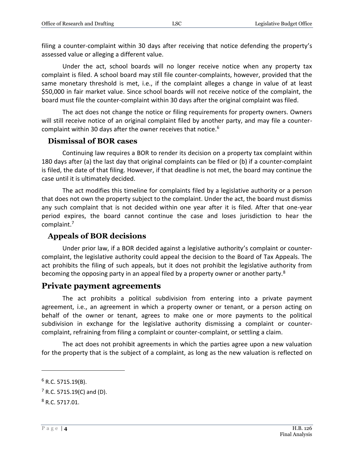filing a counter-complaint within 30 days after receiving that notice defending the property's assessed value or alleging a different value.

Under the act, school boards will no longer receive notice when any property tax complaint is filed. A school board may still file counter-complaints, however, provided that the same monetary threshold is met, i.e., if the complaint alleges a change in value of at least \$50,000 in fair market value. Since school boards will not receive notice of the complaint, the board must file the counter-complaint within 30 days after the original complaint was filed.

The act does not change the notice or filing requirements for property owners. Owners will still receive notice of an original complaint filed by another party, and may file a countercomplaint within 30 days after the owner receives that notice.<sup>6</sup>

#### **Dismissal of BOR cases**

Continuing law requires a BOR to render its decision on a property tax complaint within 180 days after (a) the last day that original complaints can be filed or (b) if a counter-complaint is filed, the date of that filing. However, if that deadline is not met, the board may continue the case until it is ultimately decided.

The act modifies this timeline for complaints filed by a legislative authority or a person that does not own the property subject to the complaint. Under the act, the board must dismiss any such complaint that is not decided within one year after it is filed. After that one-year period expires, the board cannot continue the case and loses jurisdiction to hear the complaint.<sup>7</sup>

#### **Appeals of BOR decisions**

Under prior law, if a BOR decided against a legislative authority's complaint or countercomplaint, the legislative authority could appeal the decision to the Board of Tax Appeals. The act prohibits the filing of such appeals, but it does not prohibit the legislative authority from becoming the opposing party in an appeal filed by a property owner or another party.<sup>8</sup>

#### **Private payment agreements**

The act prohibits a political subdivision from entering into a private payment agreement, i.e., an agreement in which a property owner or tenant, or a person acting on behalf of the owner or tenant, agrees to make one or more payments to the political subdivision in exchange for the legislative authority dismissing a complaint or countercomplaint, refraining from filing a complaint or counter-complaint, or settling a claim.

The act does not prohibit agreements in which the parties agree upon a new valuation for the property that is the subject of a complaint, as long as the new valuation is reflected on

 $6$  R.C. 5715.19(B).

 $7$  R.C. 5715.19(C) and (D).

<sup>8</sup> R.C. 5717.01.